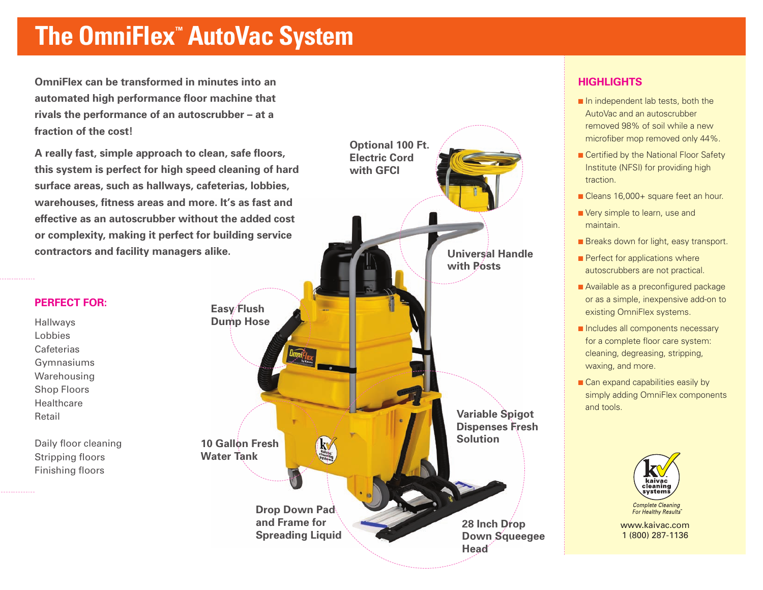# **The OmniFlex™ AutoVac System**

**OmniFlex can be transformed in minutes into an automated high performance floor machine that rivals the performance of an autoscrubber – at a fraction of the cost!**

**A really fast, simple approach to clean, safe floors, this system is perfect for high speed cleaning of hard surface areas, such as hallways, cafeterias, lobbies, warehouses, fitness areas and more. It's as fast and effective as an autoscrubber without the added cost or complexity, making it perfect for building service contractors and facility managers alike.**

#### **PERFECT FOR:**

Hallways Lobbies Cafeterias Gymnasiums Warehousing Shop Floors Healthcare Retail

Daily floor cleaning Stripping floors Finishing floors



### **HIGHLIGHTS**

- **■** In independent lab tests, both the AutoVac and an autoscrubber removed 98% of soil while a new microfiber mop removed only 44%.
- Certified by the National Floor Safety Institute (NFSI) for providing high traction.
- **■** Cleans 16,000+ square feet an hour.
- **■** Very simple to learn, use and maintain.
- Breaks down for light, easy transport.
- Perfect for applications where autoscrubbers are not practical.
- **■** Available as a preconfigured package or as a simple, inexpensive add-on to existing OmniFlex systems.
- **■** Includes all components necessary for a complete floor care system: cleaning, degreasing, stripping, waxing, and more.
- Can expand capabilities easily by simply adding OmniFlex components and tools.



www.kaivac.com 1 (800) 287-1136